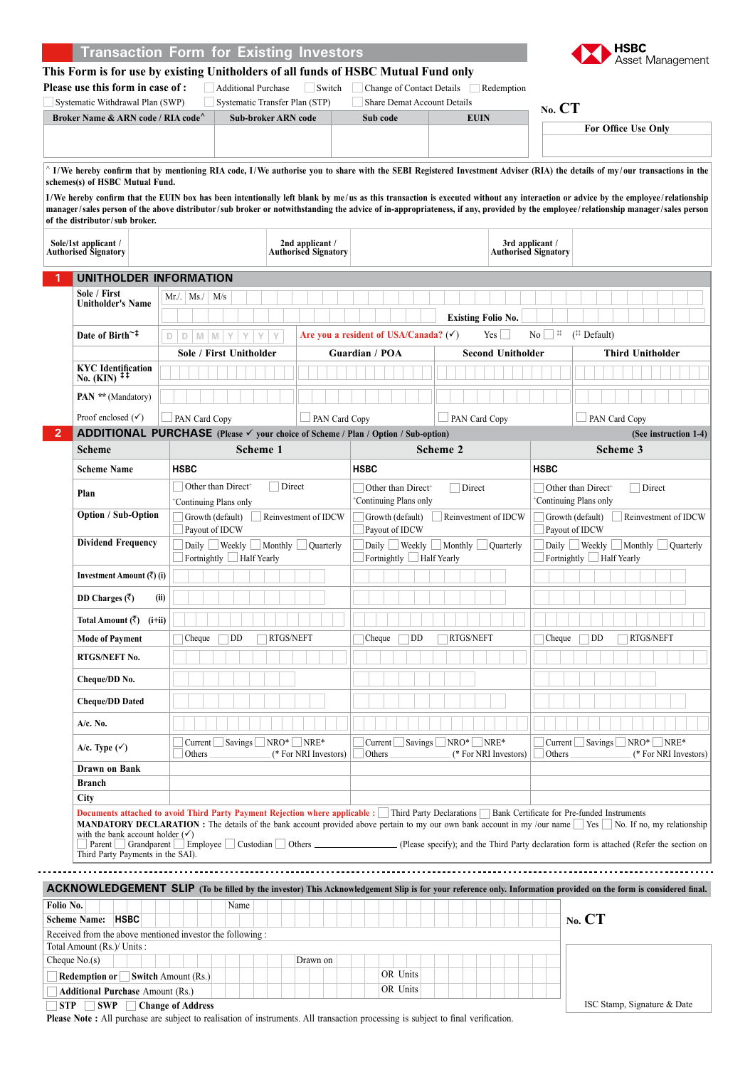#### Asset Management **This Form is for use by existing Unitholders of all funds of HSBC Mutual Fund only Please use this form in case of :** Additional Purchase Switch Change of Contact Details Redemption Systematic Withdrawal Plan (SWP) Systematic Transfer Plan (STP) Share Demat Account Details **No. CT Broker Name & ARN code / RIA code<sup>** $\wedge$ **</sup> <b>Sub-broker ARN code Sub code Sub-code EUIN For Office Use Only** ^ **I/We hereby confirm that by mentioning RIA code, I/We authorise you to share with the SEBI Registered Investment Adviser (RIA) the details of my /our transactions in the schemes(s) of HSBC Mutual Fund. I/We hereby confirm that the EUIN box has been intentionally left blank by me /us as this transaction is executed without any interaction or advice by the employee / relationship manager/sales person of the above distributor/sub broker or notwithstanding the advice of in-appropriateness, if any, provided by the employee / relationship manager/sales person of the distributor/sub broker. 2nd applicant / 3rd applicant / Sole/1st applicant / Authorised Signatory Authorised Signatory Authorised Signatory 1 UNITHOLDER INFORMATION Sole / First**   $Mr./.$  Ms./ M/s **Unitholder's Name Existing Folio No. Date of Birth~‡ <sup>d</sup> <sup>d</sup> <sup>M</sup> <sup>M</sup> <sup>Y</sup> <sup>Y</sup> <sup>Y</sup> <sup>Y</sup> Are you a resident of USA/Canada?** () Yes No ‡‡ (‡‡ Default) **Sole / First Unitholder Guardian / POA Second Unitholder Third Unitholder KYC Identification No. (KIN) ‡‡ PAN \*\*** (Mandatory) Proof enclosed  $(\checkmark)$  PAN Card Copy  $\Box$  PAN Card Copy  $\Box$  PAN Card Copy  $\Box$  PAN Card Copy **2 ADDITIONAL PURCHASE (Please your choice of Scheme / Plan / Option / Sub-option) (See instruction 1-4) Scheme Scheme 1 Scheme 2 Scheme 3 Scheme Name HSBC HSBC HSBC Plan** Other than Direct<sup>+</sup> Direct  $\Box$  Other than Direct<sup>+</sup>  $\Box$  Direct  $\Box$  Other than Direct<sup>+</sup>  $\Box$  Direct + Continuing Plans only + Continuing Plans only + Continuing Plans only **Option / Sub-Option** Growth (default) Reinvestment of IDCW Growth (default) Reinvestment of IDCW Growth (default) Reinvestment of IDCW Payout of IDCW Payout of IDCW Payout of IDCW **Dividend Frequency**  $\Box$  Daily  $\Box$  Weekly  $\Box$  Monthly  $\Box$  Quarterly Daily Weekly Monthly Quarterly Daily Weekly Monthly Quarterly  $\Box$  Fortnightly  $\Box$  Half Yearly  $\Box$  Fortnightly  $\Box$  Half Yearly Fortnightly Half Yearly **Investment Amount (**R**) (i) DD Charges (**R**) (ii) Total Amount (**R**) (i+ii) Mode of Payment** | Cheque DD RTGS/NEFT | Cheque DD RTGS/NEFT | Cheque DD RTGS/NEFT **RTGS/NEFT No. Cheque/DD No. Cheque/DD Dated A/c. No. A/c. Type (** $\checkmark$ **)** Current Savings NRO\* NRE\*  $\Box$  Current  $\Box$  Savings  $\Box$  NRO\*  $\Box$  NRE\*<br>Others  $($  \* For NRI Inve  $\Box$  Current  $\Box$  Savings  $\Box$  NRO\*  $\Box$  NRE\*<br>Others  $($  \* For NRI Inve (\* For NRI Investors) (\* For NRI Investors) (\* For NRI Investors) **Drawn on Bank Branch City Documents attached to avoid Third Party Payment Rejection where applicable :** Third Party Declarations **Bank Certificate for Pre-funded Instruments** MANDATORY DECLARATION : The details of the bank account provided above pertain to my our own bank account in my /our name Sec No. If no, my relationship with the bank account holder  $(V)$ <br>
Parent  $\Box$  Grandparent  $\Box$  Employee  $\Box$  Custodian  $\Box$  Others  $\Box$ L (Please specify); and the Third Party declaration form is attached (Refer the section on Third Party Payments in the SAI). **ACKNOWLEDGEMENT SLIP (To be filled by the investor) This Acknowledgement Slip is for your reference only. Information provided on the form is considered final.** Folio No. Name **Scheme Name: HSBC No. CT** Received from the above mentioned investor the following : Total Amount (Rs.)/ Units :  $\text{Change No.}(s)$  Drawn on **Redemption or Switch Amount (Rs.)** CR Units **Additional Purchase** Amount (Rs.) OR Units

ISC Stamp, Signature & Date

**HSBC** 

**Transaction Form for Existing Investors**

**STP SWP Change of Address**

**Please Note :** All purchase are subject to realisation of instruments. All transaction processing is subject to final verification.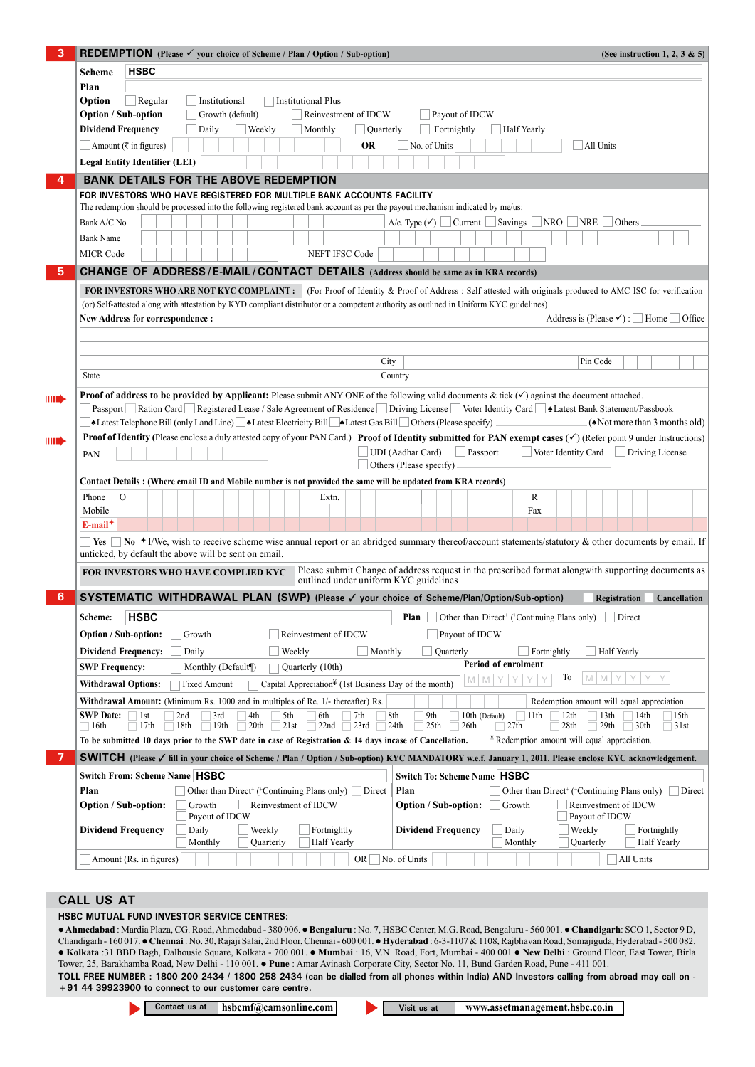| 3                                                                                                                                                      | <b>REDEMPTION</b> (Please $\checkmark$ your choice of Scheme / Plan / Option / Sub-option)<br>(See instruction 1, 2, 3 & 5)                                                                                                                                                                                                               |                                                                                                                                                                                       |  |  |  |  |  |
|--------------------------------------------------------------------------------------------------------------------------------------------------------|-------------------------------------------------------------------------------------------------------------------------------------------------------------------------------------------------------------------------------------------------------------------------------------------------------------------------------------------|---------------------------------------------------------------------------------------------------------------------------------------------------------------------------------------|--|--|--|--|--|
|                                                                                                                                                        |                                                                                                                                                                                                                                                                                                                                           |                                                                                                                                                                                       |  |  |  |  |  |
|                                                                                                                                                        | <b>Scheme</b><br>Plan                                                                                                                                                                                                                                                                                                                     |                                                                                                                                                                                       |  |  |  |  |  |
|                                                                                                                                                        | Option<br>Regular<br>Institutional<br><b>Institutional Plus</b>                                                                                                                                                                                                                                                                           |                                                                                                                                                                                       |  |  |  |  |  |
|                                                                                                                                                        | <b>Option / Sub-option</b><br>Growth (default)<br>Reinvestment of IDCW<br>Payout of IDCW                                                                                                                                                                                                                                                  |                                                                                                                                                                                       |  |  |  |  |  |
|                                                                                                                                                        | <b>Dividend Frequency</b><br>    Weekly<br>Daily<br>Monthly<br>Quarterly                                                                                                                                                                                                                                                                  | Fortnightly<br><b>Half Yearly</b>                                                                                                                                                     |  |  |  |  |  |
|                                                                                                                                                        | $\Box$ Amount (₹ in figures)<br><b>OR</b>                                                                                                                                                                                                                                                                                                 | No. of Units<br>All Units                                                                                                                                                             |  |  |  |  |  |
|                                                                                                                                                        | <b>Legal Entity Identifier (LEI)</b>                                                                                                                                                                                                                                                                                                      |                                                                                                                                                                                       |  |  |  |  |  |
|                                                                                                                                                        | <b>BANK DETAILS FOR THE ABOVE REDEMPTION</b>                                                                                                                                                                                                                                                                                              |                                                                                                                                                                                       |  |  |  |  |  |
|                                                                                                                                                        | FOR INVESTORS WHO HAVE REGISTERED FOR MULTIPLE BANK ACCOUNTS FACILITY                                                                                                                                                                                                                                                                     |                                                                                                                                                                                       |  |  |  |  |  |
|                                                                                                                                                        | The redemption should be processed into the following registered bank account as per the payout mechanism indicated by me/us:                                                                                                                                                                                                             |                                                                                                                                                                                       |  |  |  |  |  |
|                                                                                                                                                        | A/c. Type $(\checkmark)$ Current Savings NRO NRE<br>Others<br>Bank A/C No                                                                                                                                                                                                                                                                 |                                                                                                                                                                                       |  |  |  |  |  |
|                                                                                                                                                        | <b>Bank Name</b>                                                                                                                                                                                                                                                                                                                          |                                                                                                                                                                                       |  |  |  |  |  |
|                                                                                                                                                        | <b>MICR Code</b><br><b>NEFT IFSC Code</b>                                                                                                                                                                                                                                                                                                 |                                                                                                                                                                                       |  |  |  |  |  |
| 5                                                                                                                                                      | <b>CHANGE OF ADDRESS/E-MAIL/CONTACT DETAILS (Address should be same as in KRA records)</b>                                                                                                                                                                                                                                                |                                                                                                                                                                                       |  |  |  |  |  |
|                                                                                                                                                        | FOR INVESTORS WHO ARE NOT KYC COMPLAINT: (For Proof of Identity & Proof of Address: Self attested with originals produced to AMC ISC for verification                                                                                                                                                                                     |                                                                                                                                                                                       |  |  |  |  |  |
|                                                                                                                                                        | (or) Self-attested along with attestation by KYD compliant distributor or a competent authority as outlined in Uniform KYC guidelines)                                                                                                                                                                                                    |                                                                                                                                                                                       |  |  |  |  |  |
|                                                                                                                                                        | <b>New Address for correspondence:</b>                                                                                                                                                                                                                                                                                                    | Address is (Please $\checkmark$ ) : $\Box$ Home $\Box$ Office                                                                                                                         |  |  |  |  |  |
|                                                                                                                                                        |                                                                                                                                                                                                                                                                                                                                           |                                                                                                                                                                                       |  |  |  |  |  |
|                                                                                                                                                        |                                                                                                                                                                                                                                                                                                                                           |                                                                                                                                                                                       |  |  |  |  |  |
|                                                                                                                                                        |                                                                                                                                                                                                                                                                                                                                           | Pin Code<br>City                                                                                                                                                                      |  |  |  |  |  |
|                                                                                                                                                        | <b>State</b>                                                                                                                                                                                                                                                                                                                              | Country                                                                                                                                                                               |  |  |  |  |  |
| MI                                                                                                                                                     | <b>Proof of address to be provided by Applicant:</b> Please submit ANY ONE of the following valid documents & tick $(\checkmark)$ against the document attached.                                                                                                                                                                          |                                                                                                                                                                                       |  |  |  |  |  |
|                                                                                                                                                        | Passport Ration Card Registered Lease / Sale Agreement of Residence Driving License Voter Identity Card ▲ Latest Bank Statement/Passbook                                                                                                                                                                                                  |                                                                                                                                                                                       |  |  |  |  |  |
|                                                                                                                                                        | •Latest Telephone Bill (only Land Line) •Latest Electricity Bill •Latest Gas Bill © Others (Please specify)<br>$(\triangle$ Not more than 3 months old)                                                                                                                                                                                   |                                                                                                                                                                                       |  |  |  |  |  |
| <b>IIIII)</b>                                                                                                                                          |                                                                                                                                                                                                                                                                                                                                           | <b>Proof of Identity</b> (Please enclose a duly attested copy of your PAN Card.) Proof of Identity submitted for PAN exempt cases ( $\checkmark$ ) (Refer point 9 under Instructions) |  |  |  |  |  |
| UDI (Aadhar Card)<br>$\Box$ Passport<br>$\Box$ Voter Identity Card $\Box$ Driving License<br>PAN                                                       |                                                                                                                                                                                                                                                                                                                                           |                                                                                                                                                                                       |  |  |  |  |  |
|                                                                                                                                                        | Others (Please specify)                                                                                                                                                                                                                                                                                                                   |                                                                                                                                                                                       |  |  |  |  |  |
|                                                                                                                                                        | Contact Details: (Where email ID and Mobile number is not provided the same will be updated from KRA records)                                                                                                                                                                                                                             |                                                                                                                                                                                       |  |  |  |  |  |
|                                                                                                                                                        | $\Omega$<br>Phone<br>Extn.<br>Mobile                                                                                                                                                                                                                                                                                                      | R<br>Fax                                                                                                                                                                              |  |  |  |  |  |
|                                                                                                                                                        | $E$ -mail <sup>+</sup>                                                                                                                                                                                                                                                                                                                    |                                                                                                                                                                                       |  |  |  |  |  |
| No + I/We, wish to receive scheme wise annual report or an abridged summary thereof/account statements/statutory & other documents by email. If<br>Yes |                                                                                                                                                                                                                                                                                                                                           |                                                                                                                                                                                       |  |  |  |  |  |
|                                                                                                                                                        | unticked, by default the above will be sent on email.                                                                                                                                                                                                                                                                                     |                                                                                                                                                                                       |  |  |  |  |  |
| Please submit Change of address request in the prescribed format alongwith supporting documents as<br>FOR INVESTORS WHO HAVE COMPLIED KYC              |                                                                                                                                                                                                                                                                                                                                           |                                                                                                                                                                                       |  |  |  |  |  |
|                                                                                                                                                        | outlined under uniform KYC guidelines                                                                                                                                                                                                                                                                                                     |                                                                                                                                                                                       |  |  |  |  |  |
| 6                                                                                                                                                      | SYSTEMATIC WITHDRAWAL PLAN (SWP) (Please √ your choice of Scheme/Plan/Option/Sub-option)<br>Registration<br><b>Cancellation</b>                                                                                                                                                                                                           |                                                                                                                                                                                       |  |  |  |  |  |
|                                                                                                                                                        | <b>HSBC</b><br>${\bf Scheme:}$                                                                                                                                                                                                                                                                                                            | □ Other than Direct <sup>+</sup> ('Continuing Plans only) □ Direct<br>$ $ Plan                                                                                                        |  |  |  |  |  |
| <b>Option / Sub-option:</b><br>Growth<br>Reinvestment of IDCW<br>Payout of IDCW                                                                        |                                                                                                                                                                                                                                                                                                                                           |                                                                                                                                                                                       |  |  |  |  |  |
|                                                                                                                                                        | <b>Dividend Frequency:</b><br>Quarterly<br>Fortnightly<br><b>Half Yearly</b><br>Daily<br>Weekly<br>Monthly<br>$\overline{\phantom{a}}$                                                                                                                                                                                                    |                                                                                                                                                                                       |  |  |  |  |  |
| Period of enrolment<br><b>SWP Frequency:</b><br>Monthly (Default <sup>[1]</sup> )<br>Quarterly (10th)                                                  |                                                                                                                                                                                                                                                                                                                                           |                                                                                                                                                                                       |  |  |  |  |  |
|                                                                                                                                                        | To<br>MMY<br>Y<br>YY<br>$M$ $M$<br>Y<br>Capital Appreciation <sup><math>\frac{V}{I}</math></sup> (1st Business Day of the month)<br><b>Withdrawal Options:</b><br><b>Fixed Amount</b><br>Withdrawal Amount: (Minimum Rs. 1000 and in multiples of Re. 1/- thereafter) Rs.<br>Redemption amount will equal appreciation.                   |                                                                                                                                                                                       |  |  |  |  |  |
|                                                                                                                                                        |                                                                                                                                                                                                                                                                                                                                           |                                                                                                                                                                                       |  |  |  |  |  |
|                                                                                                                                                        | 5th<br>8th<br>9th<br><b>SWP Date:</b><br>1 <sub>st</sub><br>2nd<br>3rd<br>4th<br>6th<br>7th<br>10th (Default)<br>13 <sup>th</sup><br>14th<br>$\Box$ 11th<br>12th<br>  15th<br>17th<br>18th<br>19th<br>21st<br>22nd<br>24th<br>25 <sub>th</sub><br>27th<br>29th<br>30th<br>$\Box$ 16th<br>20 <sup>th</sup><br>23rd<br>26th<br>28th<br>31st |                                                                                                                                                                                       |  |  |  |  |  |
|                                                                                                                                                        | <sup>¥</sup> Redemption amount will equal appreciation.<br>To be submitted 10 days prior to the SWP date in case of Registration & 14 days incase of Cancellation.                                                                                                                                                                        |                                                                                                                                                                                       |  |  |  |  |  |
|                                                                                                                                                        | SWITCH (Please √ fill in your choice of Scheme / Plan / Option / Sub-option) KYC MANDATORY w.e.f. January 1, 2011. Please enclose KYC acknowledgement.                                                                                                                                                                                    |                                                                                                                                                                                       |  |  |  |  |  |
|                                                                                                                                                        | <b>Switch From: Scheme Name   HSBC</b>                                                                                                                                                                                                                                                                                                    | <b>Switch To: Scheme Name   HSBC</b>                                                                                                                                                  |  |  |  |  |  |
|                                                                                                                                                        | Plan<br>Direct<br>Other than Direct <sup>+</sup> ( <sup>+</sup> Continuing Plans only)                                                                                                                                                                                                                                                    | Plan<br>Other than Direct <sup>+</sup> ( <sup>+</sup> Continuing Plans only)<br>Direct                                                                                                |  |  |  |  |  |
|                                                                                                                                                        | Growth<br>Reinvestment of IDCW<br>Reinvestment of IDCW<br><b>Option / Sub-option:</b><br><b>Option / Sub-option:</b><br>Growth                                                                                                                                                                                                            |                                                                                                                                                                                       |  |  |  |  |  |
|                                                                                                                                                        | Payout of IDCW                                                                                                                                                                                                                                                                                                                            | Payout of IDCW                                                                                                                                                                        |  |  |  |  |  |
|                                                                                                                                                        | <b>Dividend Frequency</b><br>Daily<br>Weekly<br>Fortnightly<br>Monthly<br>Quarterly<br>Half Yearly                                                                                                                                                                                                                                        | <b>Dividend Frequency</b><br>Daily<br>Weekly<br>Fortnightly<br><b>Half Yearly</b><br>Monthly<br>Quarterly                                                                             |  |  |  |  |  |
|                                                                                                                                                        | OR $\Box$ No. of Units<br>All Units<br>Amount (Rs. in figures)                                                                                                                                                                                                                                                                            |                                                                                                                                                                                       |  |  |  |  |  |

# **call us at**

### **HSBC MUTUAL FUND INVESTOR SERVICE CENTRES:**

 **Ahmedabad** : Mardia Plaza, CG. Road, Ahmedabad - 380 006. **Bengaluru** : No. 7, HSBC Center, M.G. Road, Bengaluru - 560 001. **Chandigarh**: SCO 1, Sector 9 D, Chandigarh - 160 017. **Chennai** : No. 30, Rajaji Salai, 2nd Floor, Chennai - 600 001. **Hyderabad** : 6-3-1107 & 1108, Rajbhavan Road, Somajiguda, Hyderabad - 500 082. **Kolkata** :31 BBD Bagh, Dalhousie Square, Kolkata - 700 001. **Mumbai** : 16, V.N. Road, Fort, Mumbai - 400 001 **New Delhi** : Ground Floor, East Tower, Birla Tower, 25, Barakhamba Road, New Delhi - 110 001. **Pune** : Amar Avinash Corporate City, Sector No. 11, Bund Garden Road, Pune - 411 001. **Toll Free Number : 1800 200 2434 / 1800 258 2434 (can be dialled from all phones within India) AND Investors calling from abroad may call on -** 

**+91 44 39923900 to connect to our customer care centre.**

**Contact us at hsbcmf@camsonline.com Visit us at WWW.assetmanagement.hsbc.co.in**